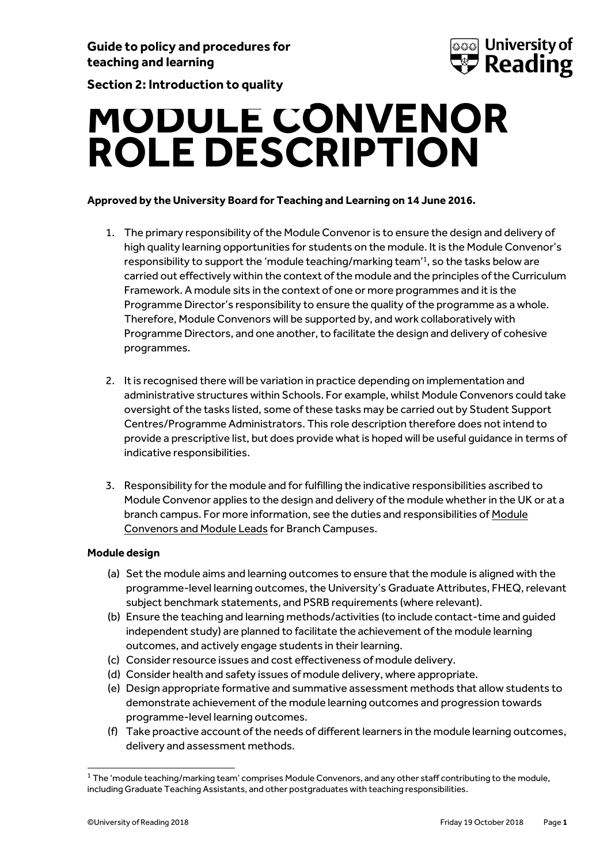

**Section 2: Introduction to quality**

# **MODULE CONVENOR ROLE DESCRIPTION**

# **Approved by the University Board for Teaching and Learning on 14 June 2016.**

- 1. The primary responsibility of the Module Convenor is to ensure the design and delivery of high quality learning opportunities for students on the module. It is the Module Convenor's responsibility to support the 'module teaching/marking team'<sup>1</sup> , so the tasks below are carried out effectively within the context of the module and the principles of the Curriculum Framework. A module sits in the context of one or more programmes and it is the Programme Director's responsibility to ensure the quality of the programme as a whole. Therefore, Module Convenors will be supported by, and work collaboratively with Programme Directors, and one another, to facilitate the design and delivery of cohesive programmes.
- 2. It is recognised there will be variation in practice depending on implementation and administrative structures within Schools. For example, whilst Module Convenors could take oversight of the tasks listed, some of these tasks may be carried out by Student Support Centres/Programme Administrators. This role description therefore does not intend to provide a prescriptive list, but does provide what is hoped will be useful guidance in terms of indicative responsibilities.
- 3. Responsibility for the module and for fulfilling the indicative responsibilities ascribed to Module Convenor applies to the design and delivery of the module whether in the UK or at a branch campus. For more information, see the duties and responsibilities o[f Module](https://www.reading.ac.uk/web/FILES/qualitysupport/moduleconvenorleadroleresponsibilities.pdf)  [Convenors and Module Leads](https://www.reading.ac.uk/web/FILES/qualitysupport/moduleconvenorleadroleresponsibilities.pdf) for Branch Campuses.

# **Module design**

- (a) Set the module aims and learning outcomes to ensure that the module is aligned with the programme-level learning outcomes, the University's Graduate Attributes, FHEQ, relevant subject benchmark statements, and PSRB requirements (where relevant).
- (b) Ensure the teaching and learning methods/activities (to include contact-time and guided independent study) are planned to facilitate the achievement of the module learning outcomes, and actively engage students in their learning.
- (c) Consider resource issues and cost effectiveness of module delivery.
- (d) Consider health and safety issues of module delivery, where appropriate.
- (e) Design appropriate formative and summative assessment methods that allow students to demonstrate achievement of the module learning outcomes and progression towards programme-level learning outcomes.
- (f) Take proactive account of the needs of different learners in the module learning outcomes, delivery and assessment methods.

<sup>1</sup>  $1$  The 'module teaching/marking team' comprises Module Convenors, and any other staff contributing to the module, including Graduate Teaching Assistants, and other postgraduates with teaching responsibilities.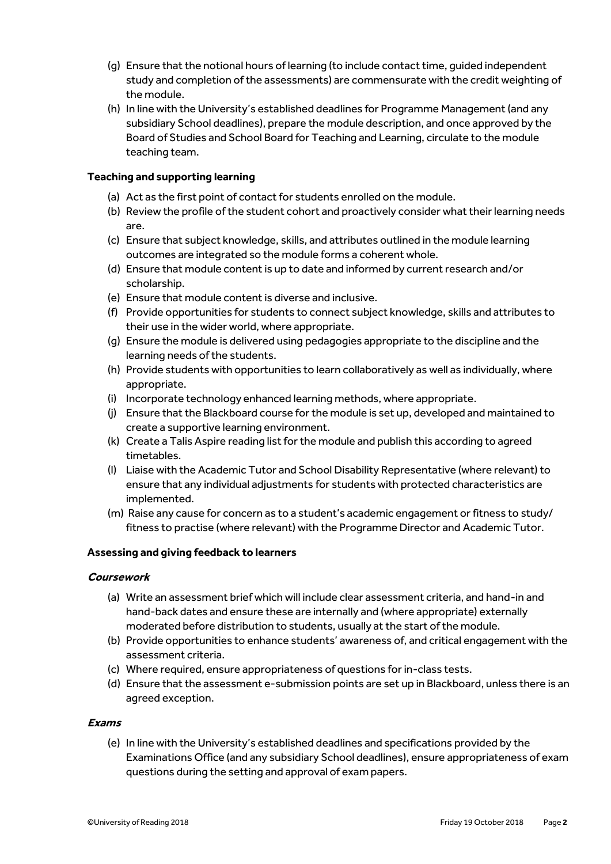- (g) Ensure that the notional hours of learning (to include contact time, guided independent study and completion of the assessments) are commensurate with the credit weighting of the module.
- (h) In line with the University's established deadlines for Programme Management (and any subsidiary School deadlines), prepare the module description, and once approved by the Board of Studies and School Board for Teaching and Learning, circulate to the module teaching team.

## **Teaching and supporting learning**

- (a) Act as the first point of contact for students enrolled on the module.
- (b) Review the profile of the student cohort and proactively consider what their learning needs are.
- (c) Ensure that subject knowledge, skills, and attributes outlined in the module learning outcomes are integrated so the module forms a coherent whole.
- (d) Ensure that module content is up to date and informed by current research and/or scholarship.
- (e) Ensure that module content is diverse and inclusive.
- (f) Provide opportunities for students to connect subject knowledge, skills and attributes to their use in the wider world, where appropriate.
- (g) Ensure the module is delivered using pedagogies appropriate to the discipline and the learning needs of the students.
- (h) Provide students with opportunities to learn collaboratively as well as individually, where appropriate.
- (i) Incorporate technology enhanced learning methods, where appropriate.
- (j) Ensure that the Blackboard course for the module is set up, developed and maintained to create a supportive learning environment.
- (k) Create a Talis Aspire reading list for the module and publish this according to agreed timetables.
- (l) Liaise with the Academic Tutor and School Disability Representative (where relevant) to ensure that any individual adjustments for students with protected characteristics are implemented.
- (m) Raise any cause for concern as to a student's academic engagement or fitness to study/ fitness to practise (where relevant) with the Programme Director and Academic Tutor.

#### **Assessing and giving feedback to learners**

#### **Coursework**

- (a) Write an assessment brief which will include clear assessment criteria, and hand-in and hand-back dates and ensure these are internally and (where appropriate) externally moderated before distribution to students, usually at the start of the module.
- (b) Provide opportunities to enhance students' awareness of, and critical engagement with the assessment criteria.
- (c) Where required, ensure appropriateness of questions for in-class tests.
- (d) Ensure that the assessment e-submission points are set up in Blackboard, unless there is an agreed exception.

#### **Exams**

(e) In line with the University's established deadlines and specifications provided by the Examinations Office (and any subsidiary School deadlines), ensure appropriateness of exam questions during the setting and approval of exam papers.